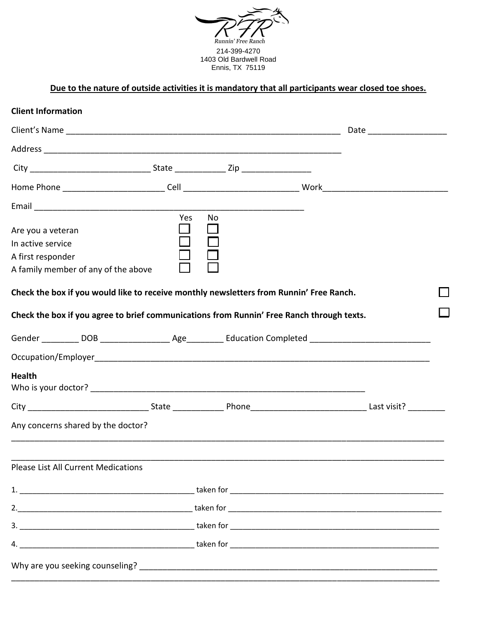

# **Due to the nature of outside activities it is mandatory that all participants wear closed toe shoes.**

| <b>Client Information</b>                                   |                                     |               |           |                                                                                                                |  |  |
|-------------------------------------------------------------|-------------------------------------|---------------|-----------|----------------------------------------------------------------------------------------------------------------|--|--|
|                                                             |                                     |               |           |                                                                                                                |  |  |
|                                                             |                                     |               |           |                                                                                                                |  |  |
|                                                             |                                     |               |           |                                                                                                                |  |  |
|                                                             |                                     |               |           |                                                                                                                |  |  |
|                                                             |                                     |               |           |                                                                                                                |  |  |
| Are you a veteran<br>In active service<br>A first responder | A family member of any of the above | Yes<br>$\Box$ | <b>No</b> |                                                                                                                |  |  |
|                                                             |                                     |               |           | Check the box if you would like to receive monthly newsletters from Runnin' Free Ranch.                        |  |  |
|                                                             |                                     |               |           | Check the box if you agree to brief communications from Runnin' Free Ranch through texts.                      |  |  |
|                                                             |                                     |               |           | Gender __________ DOB ___________________ Age___________ Education Completed _________________________________ |  |  |
|                                                             |                                     |               |           |                                                                                                                |  |  |
| <b>Health</b>                                               |                                     |               |           |                                                                                                                |  |  |
|                                                             |                                     |               |           |                                                                                                                |  |  |
|                                                             | Any concerns shared by the doctor?  |               |           |                                                                                                                |  |  |
|                                                             | Please List All Current Medications |               |           |                                                                                                                |  |  |
|                                                             |                                     |               |           |                                                                                                                |  |  |
|                                                             |                                     |               |           |                                                                                                                |  |  |
|                                                             |                                     |               |           |                                                                                                                |  |  |
|                                                             |                                     |               |           |                                                                                                                |  |  |
|                                                             |                                     |               |           |                                                                                                                |  |  |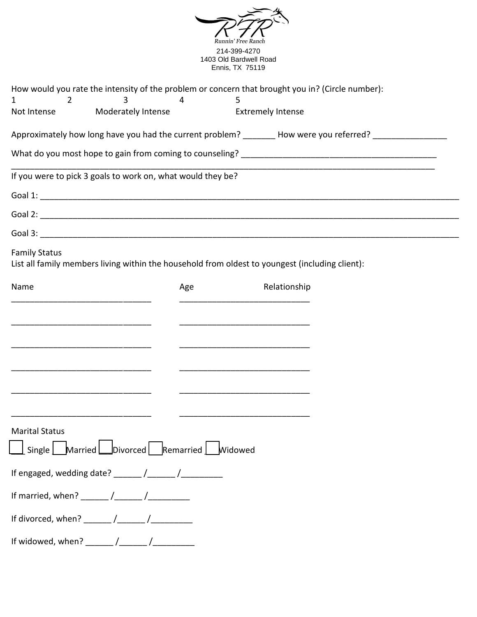|                                                                                                                              | Runnin' Free Rancl<br>214-399-4270<br>1403 Old Bardwell Road |                                                                                                      |  |
|------------------------------------------------------------------------------------------------------------------------------|--------------------------------------------------------------|------------------------------------------------------------------------------------------------------|--|
|                                                                                                                              | Ennis, TX 75119                                              |                                                                                                      |  |
| How would you rate the intensity of the problem or concern that brought you in? (Circle number):<br>3<br>$\overline{2}$<br>1 | 4<br>5                                                       |                                                                                                      |  |
| Moderately Intense<br>Not Intense                                                                                            |                                                              | <b>Extremely Intense</b>                                                                             |  |
|                                                                                                                              |                                                              | Approximately how long have you had the current problem? _______ How were you referred? ____________ |  |
|                                                                                                                              |                                                              |                                                                                                      |  |
| If you were to pick 3 goals to work on, what would they be?                                                                  |                                                              |                                                                                                      |  |
|                                                                                                                              |                                                              |                                                                                                      |  |
|                                                                                                                              |                                                              |                                                                                                      |  |
|                                                                                                                              |                                                              |                                                                                                      |  |
| <b>Family Status</b><br>List all family members living within the household from oldest to youngest (including client):      |                                                              |                                                                                                      |  |
| Name                                                                                                                         | Age                                                          | Relationship                                                                                         |  |
|                                                                                                                              |                                                              |                                                                                                      |  |
|                                                                                                                              |                                                              |                                                                                                      |  |
|                                                                                                                              |                                                              |                                                                                                      |  |
|                                                                                                                              |                                                              |                                                                                                      |  |
|                                                                                                                              |                                                              |                                                                                                      |  |
|                                                                                                                              |                                                              |                                                                                                      |  |
| <b>Marital Status</b>                                                                                                        |                                                              |                                                                                                      |  |
| $\Box$ Single $\Box$ Married $\Box$ Divorced Remarried $\Box$ Widowed                                                        |                                                              |                                                                                                      |  |
|                                                                                                                              |                                                              |                                                                                                      |  |
|                                                                                                                              |                                                              |                                                                                                      |  |
|                                                                                                                              |                                                              |                                                                                                      |  |
|                                                                                                                              |                                                              |                                                                                                      |  |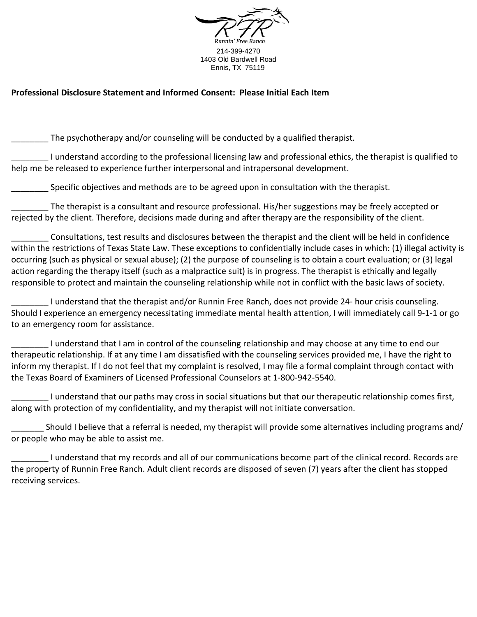

#### **Professional Disclosure Statement and Informed Consent: Please Initial Each Item**

The psychotherapy and/or counseling will be conducted by a qualified therapist.

\_\_\_\_\_\_\_\_ I understand according to the professional licensing law and professional ethics, the therapist is qualified to help me be released to experience further interpersonal and intrapersonal development.

Specific objectives and methods are to be agreed upon in consultation with the therapist.

\_\_\_\_\_\_\_\_ The therapist is a consultant and resource professional. His/her suggestions may be freely accepted or rejected by the client. Therefore, decisions made during and after therapy are the responsibility of the client.

\_\_\_\_\_\_\_\_ Consultations, test results and disclosures between the therapist and the client will be held in confidence within the restrictions of Texas State Law. These exceptions to confidentially include cases in which: (1) illegal activity is occurring (such as physical or sexual abuse); (2) the purpose of counseling is to obtain a court evaluation; or (3) legal action regarding the therapy itself (such as a malpractice suit) is in progress. The therapist is ethically and legally responsible to protect and maintain the counseling relationship while not in conflict with the basic laws of society.

\_\_\_\_\_\_\_\_ I understand that the therapist and/or Runnin Free Ranch, does not provide 24- hour crisis counseling. Should I experience an emergency necessitating immediate mental health attention, I will immediately call 9-1-1 or go to an emergency room for assistance.

\_\_\_\_\_\_\_\_ I understand that I am in control of the counseling relationship and may choose at any time to end our therapeutic relationship. If at any time I am dissatisfied with the counseling services provided me, I have the right to inform my therapist. If I do not feel that my complaint is resolved, I may file a formal complaint through contact with the Texas Board of Examiners of Licensed Professional Counselors at 1-800-942-5540.

\_\_\_\_\_\_\_\_ I understand that our paths may cross in social situations but that our therapeutic relationship comes first, along with protection of my confidentiality, and my therapist will not initiate conversation.

Should I believe that a referral is needed, my therapist will provide some alternatives including programs and/ or people who may be able to assist me.

\_\_\_\_\_\_\_\_ I understand that my records and all of our communications become part of the clinical record. Records are the property of Runnin Free Ranch. Adult client records are disposed of seven (7) years after the client has stopped receiving services.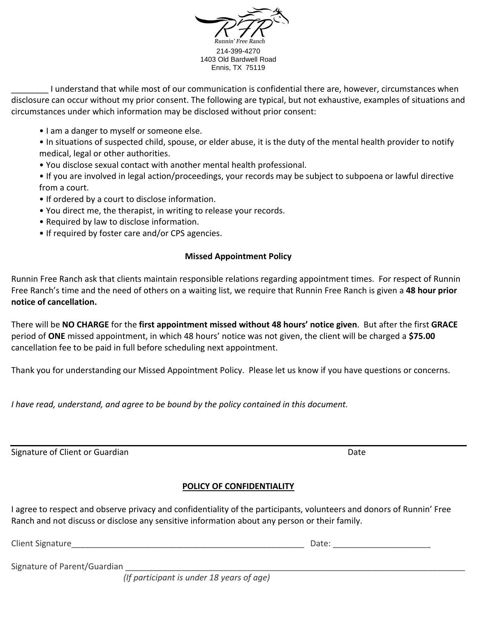

\_\_\_\_\_\_\_\_ I understand that while most of our communication is confidential there are, however, circumstances when disclosure can occur without my prior consent. The following are typical, but not exhaustive, examples of situations and circumstances under which information may be disclosed without prior consent:

• I am a danger to myself or someone else.

• In situations of suspected child, spouse, or elder abuse, it is the duty of the mental health provider to notify medical, legal or other authorities.

• You disclose sexual contact with another mental health professional.

• If you are involved in legal action/proceedings, your records may be subject to subpoena or lawful directive from a court.

- If ordered by a court to disclose information.
- You direct me, the therapist, in writing to release your records.
- Required by law to disclose information.
- If required by foster care and/or CPS agencies.

#### **Missed Appointment Policy**

Runnin Free Ranch ask that clients maintain responsible relations regarding appointment times. For respect of Runnin Free Ranch's time and the need of others on a waiting list, we require that Runnin Free Ranch is given a **48 hour prior notice of cancellation.** 

There will be **NO CHARGE** for the **first appointment missed without 48 hours' notice given**. But after the first **GRACE** period of **ONE** missed appointment, in which 48 hours' notice was not given, the client will be charged a **\$75.00** cancellation fee to be paid in full before scheduling next appointment.

Thank you for understanding our Missed Appointment Policy. Please let us know if you have questions or concerns.

*I have read, understand, and agree to be bound by the policy contained in this document.* 

Signature of Client or Guardian **Date** Date of Client or Guardian Date of Client or Guardian Date of Client or Guardian Date of Client or Guardian Date of Client or Guardian Date of Client or Guardian Date of Client or Gua

## **POLICY OF CONFIDENTIALITY**

I agree to respect and observe privacy and confidentiality of the participants, volunteers and donors of Runnin' Free Ranch and not discuss or disclose any sensitive information about any person or their family.

Client Signature **Date: Client Signature** 

Signature of Parent/Guardian

*(If participant is under 18 years of age)*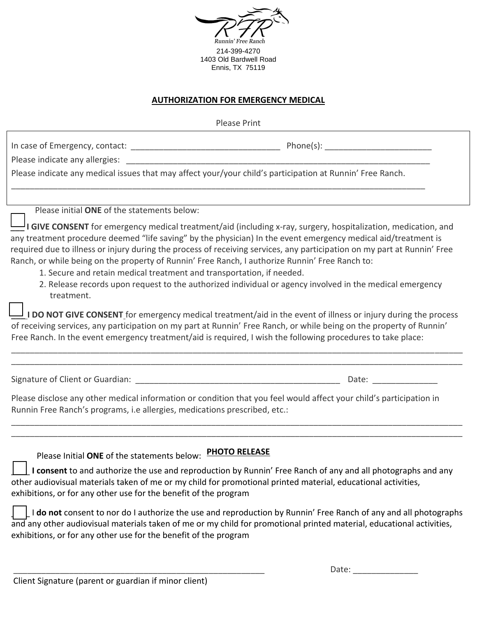

#### **AUTHORIZATION FOR EMERGENCY MEDICAL**

| <b>Please Print</b>                                                                                                                                                                                                                                                                                                                                                                                                                  |                                                                                                                         |  |  |
|--------------------------------------------------------------------------------------------------------------------------------------------------------------------------------------------------------------------------------------------------------------------------------------------------------------------------------------------------------------------------------------------------------------------------------------|-------------------------------------------------------------------------------------------------------------------------|--|--|
|                                                                                                                                                                                                                                                                                                                                                                                                                                      |                                                                                                                         |  |  |
| Please indicate any medical issues that may affect your/your child's participation at Runnin' Free Ranch.                                                                                                                                                                                                                                                                                                                            |                                                                                                                         |  |  |
| Please initial ONE of the statements below:                                                                                                                                                                                                                                                                                                                                                                                          | $\sqcup$ I GIVE CONSENT for emergency medical treatment/aid (including x-ray, surgery, hospitalization, medication, and |  |  |
| any treatment procedure deemed "life saving" by the physician) In the event emergency medical aid/treatment is<br>required due to illness or injury during the process of receiving services, any participation on my part at Runnin' Free<br>Ranch, or while being on the property of Runnin' Free Ranch, I authorize Runnin' Free Ranch to:<br>1. Secure and retain medical treatment and transportation, if needed.<br>treatment. | 2. Release records upon request to the authorized individual or agency involved in the medical emergency                |  |  |
| $\perp$ <b>I DO NOT GIVE CONSENT</b> for emergency medical treatment/aid in the event of illness or injury during the process<br>of receiving services, any participation on my part at Runnin' Free Ranch, or while being on the property of Runnin'<br>Free Ranch. In the event emergency treatment/aid is required, I wish the following procedures to take place:                                                                |                                                                                                                         |  |  |
|                                                                                                                                                                                                                                                                                                                                                                                                                                      |                                                                                                                         |  |  |
| Please disclose any other medical information or condition that you feel would affect your child's participation in<br>Runnin Free Ranch's programs, i.e allergies, medications prescribed, etc.:                                                                                                                                                                                                                                    |                                                                                                                         |  |  |
| Please Initial ONE of the statements below: PHOTO RELEASE                                                                                                                                                                                                                                                                                                                                                                            |                                                                                                                         |  |  |

\_\_\_\_ **I consent** to and authorize the use and reproduction by Runnin' Free Ranch of any and all photographs and any other audiovisual materials taken of me or my child for promotional printed material, educational activities, exhibitions, or for any other use for the benefit of the program

\_\_\_\_ I **do not** consent to nor do I authorize the use and reproduction by Runnin' Free Ranch of any and all photographs and any other audiovisual materials taken of me or my child for promotional printed material, educational activities, exhibitions, or for any other use for the benefit of the program

| _____<br>_______<br>___<br>_______<br>___<br>______<br>_____<br>____<br>__________ |  |
|------------------------------------------------------------------------------------|--|

Client Signature (parent or guardian if minor client)